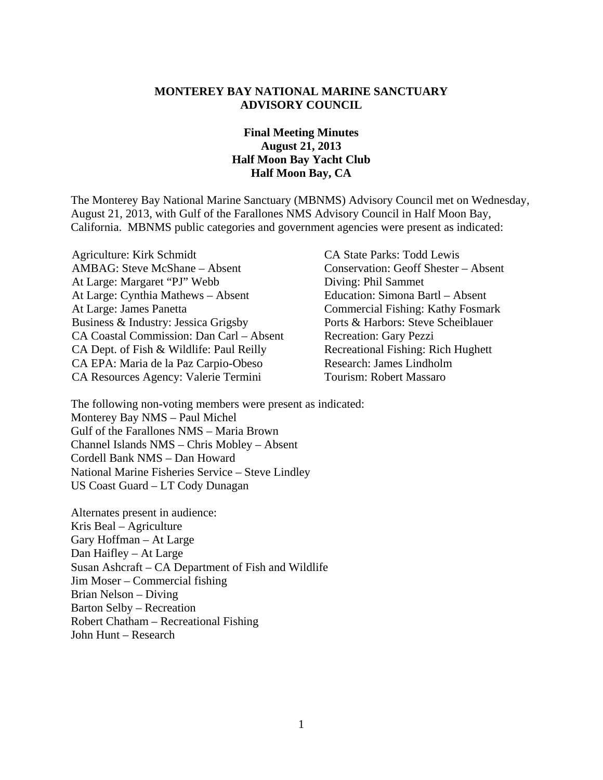#### **MONTEREY BAY NATIONAL MARINE SANCTUARY ADVISORY COUNCIL**

## **Final Meeting Minutes August 21, 2013 Half Moon Bay Yacht Club Half Moon Bay, CA**

The Monterey Bay National Marine Sanctuary (MBNMS) Advisory Council met on Wednesday, August 21, 2013, with Gulf of the Farallones NMS Advisory Council in Half Moon Bay, California. MBNMS public categories and government agencies were present as indicated:

- Agriculture: Kirk Schmidt CA State Parks: Todd Lewis AMBAG: Steve McShane – Absent Conservation: Geoff Shester – Absent At Large: Margaret "PJ" Webb Diving: Phil Sammet<br>At Large: Cynthia Mathews – Absent Education: Simona Bartl – Absent At Large: Cynthia Mathews – Absent<br>At Large: James Panetta Business & Industry: Jessica Grigsby CA Coastal Commission: Dan Carl – Absent Recreation: Gary Pezzi CA Dept. of Fish & Wildlife: Paul Reilly Recreational Fishing: Rich Hughett CA EPA: Maria de la Paz Carpio-Obeso Research: James Lindholm CA Resources Agency: Valerie Termini Tourism: Robert Massaro
	- Commercial Fishing: Kathy Fosmark<br>Ports & Harbors: Steve Scheiblauer

The following non-voting members were present as indicated: Monterey Bay NMS – Paul Michel Gulf of the Farallones NMS – Maria Brown Channel Islands NMS – Chris Mobley – Absent Cordell Bank NMS – Dan Howard National Marine Fisheries Service – Steve Lindley US Coast Guard – LT Cody Dunagan

Alternates present in audience: Kris Beal – Agriculture Gary Hoffman – At Large Dan Haifley – At Large Susan Ashcraft – CA Department of Fish and Wildlife Jim Moser – Commercial fishing Brian Nelson – Diving Barton Selby – Recreation Robert Chatham – Recreational Fishing John Hunt – Research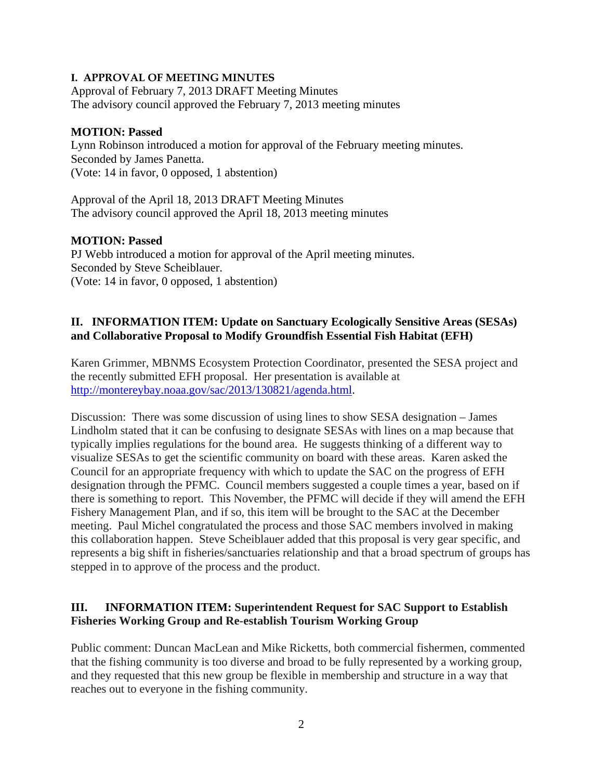#### **I. APPROVAL OF MEETING MINUTES**

Approval of February 7, 2013 DRAFT Meeting Minutes The advisory council approved the February 7, 2013 meeting minutes

#### **MOTION: Passed**

Lynn Robinson introduced a motion for approval of the February meeting minutes. Seconded by James Panetta. (Vote: 14 in favor, 0 opposed, 1 abstention)

Approval of the April 18, 2013 DRAFT Meeting Minutes The advisory council approved the April 18, 2013 meeting minutes

## **MOTION: Passed**

PJ Webb introduced a motion for approval of the April meeting minutes. Seconded by Steve Scheiblauer. (Vote: 14 in favor, 0 opposed, 1 abstention)

# **II. INFORMATION ITEM: Update on Sanctuary Ecologically Sensitive Areas (SESAs) and Collaborative Proposal to Modify Groundfish Essential Fish Habitat (EFH)**

Karen Grimmer, MBNMS Ecosystem Protection Coordinator, presented the SESA project and the recently submitted EFH proposal. Her presentation is available at [http://montereybay.noaa.gov/sac/2013/130821/agenda.html.](http://montereybay.noaa.gov/sac/2013/130821/agenda.html)

Discussion: There was some discussion of using lines to show SESA designation – James Lindholm stated that it can be confusing to designate SESAs with lines on a map because that typically implies regulations for the bound area. He suggests thinking of a different way to visualize SESAs to get the scientific community on board with these areas. Karen asked the Council for an appropriate frequency with which to update the SAC on the progress of EFH designation through the PFMC. Council members suggested a couple times a year, based on if there is something to report. This November, the PFMC will decide if they will amend the EFH Fishery Management Plan, and if so, this item will be brought to the SAC at the December meeting. Paul Michel congratulated the process and those SAC members involved in making this collaboration happen. Steve Scheiblauer added that this proposal is very gear specific, and represents a big shift in fisheries/sanctuaries relationship and that a broad spectrum of groups has stepped in to approve of the process and the product.

# **III. INFORMATION ITEM: Superintendent Request for SAC Support to Establish Fisheries Working Group and Re-establish Tourism Working Group**

Public comment: Duncan MacLean and Mike Ricketts, both commercial fishermen, commented that the fishing community is too diverse and broad to be fully represented by a working group, and they requested that this new group be flexible in membership and structure in a way that reaches out to everyone in the fishing community.